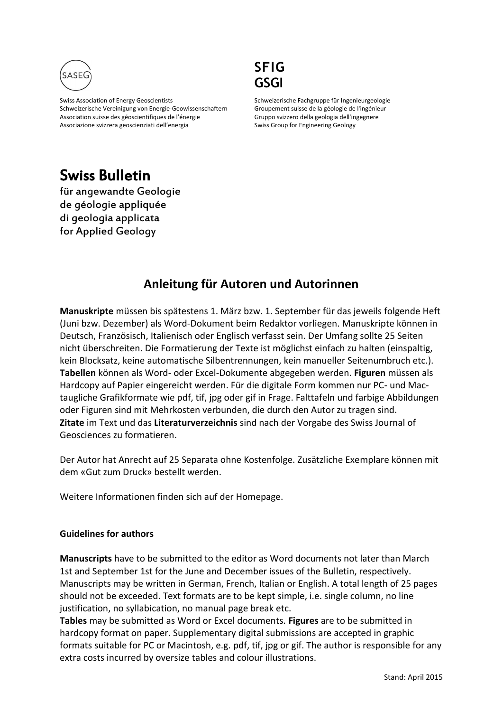

Swiss Association of Energy Geoscientists Schweizerische Vereinigung von Energie-Geowissenschaftern Association suisse des géoscientifiques de l'énergie Associazione svizzera geoscienziati dell'energia



Schweizerische Fachgruppe für Ingenieurgeologie Groupement suisse de la géologie de l'ingénieur Gruppo svizzero della geologia dell'ingegnere Swiss Group for Engineering Geology

## Swiss Bulletin

für angewandte Geologie de géologie appliquée di geologia applicata for Applied Geology

## **Anleitung für Autoren und Autorinnen**

**Manuskripte** müssen bis spätestens 1. März bzw. 1. September für das jeweils folgende Heft (Juni bzw. Dezember) als Word-Dokument beim Redaktor vorliegen. Manuskripte können in Deutsch, Französisch, Italienisch oder Englisch verfasst sein. Der Umfang sollte 25 Seiten nicht überschreiten. Die Formatierung der Texte ist möglichst einfach zu halten (einspaltig, kein Blocksatz, keine automatische Silbentrennungen, kein manueller Seitenumbruch etc.). **Tabellen** können als Word- oder Excel-Dokumente abgegeben werden. **Figuren** müssen als Hardcopy auf Papier eingereicht werden. Für die digitale Form kommen nur PC- und Mactaugliche Grafikformate wie pdf, tif, jpg oder gif in Frage. Falttafeln und farbige Abbildungen oder Figuren sind mit Mehrkosten verbunden, die durch den Autor zu tragen sind. **Zitate** im Text und das **Literaturverzeichnis** sind nach der Vorgabe des Swiss Journal of Geosciences zu formatieren.

Der Autor hat Anrecht auf 25 Separata ohne Kostenfolge. Zusätzliche Exemplare können mit dem «Gut zum Druck» bestellt werden.

Weitere Informationen finden sich auf der Homepage.

## **Guidelines for authors**

**Manuscripts** have to be submitted to the editor as Word documents not later than March 1st and September 1st for the June and December issues of the Bulletin, respectively. Manuscripts may be written in German, French, Italian or English. A total length of 25 pages should not be exceeded. Text formats are to be kept simple, i.e. single column, no line justification, no syllabication, no manual page break etc.

**Tables** may be submitted as Word or Excel documents. **Figures** are to be submitted in hardcopy format on paper. Supplementary digital submissions are accepted in graphic formats suitable for PC or Macintosh, e.g. pdf, tif, jpg or gif. The author is responsible for any extra costs incurred by oversize tables and colour illustrations.